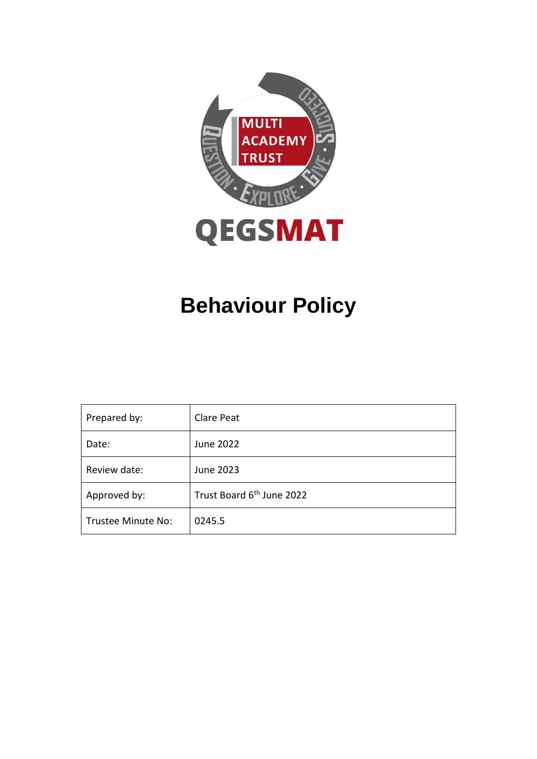

# **Behaviour Policy**

| Prepared by:       | Clare Peat                            |
|--------------------|---------------------------------------|
| Date:              | June 2022                             |
| Review date:       | June 2023                             |
| Approved by:       | Trust Board 6 <sup>th</sup> June 2022 |
| Trustee Minute No: | 0245.5                                |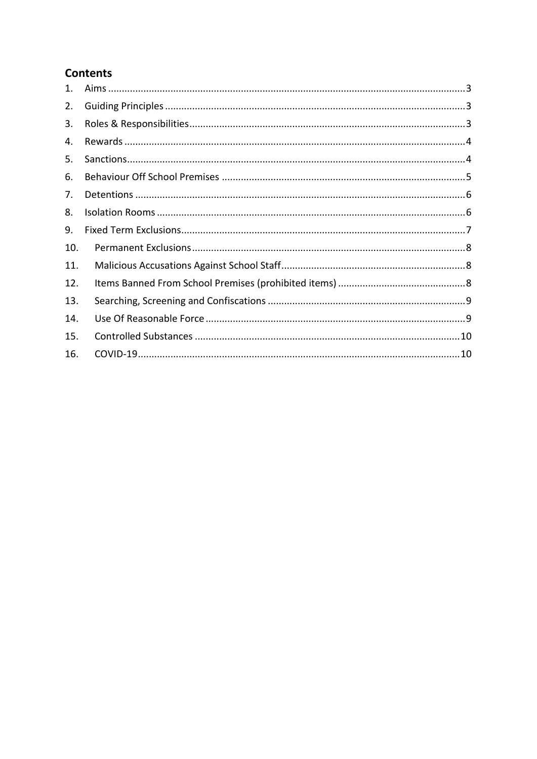### **Contents**

| $\mathbf{1}$ . |  |
|----------------|--|
| 2.             |  |
| 3.             |  |
| 4.             |  |
| 5.             |  |
| 6.             |  |
| 7.             |  |
| 8.             |  |
| 9.             |  |
| 10.            |  |
| 11.            |  |
| 12.            |  |
| 13.            |  |
| 14.            |  |
| 15.            |  |
| 16.            |  |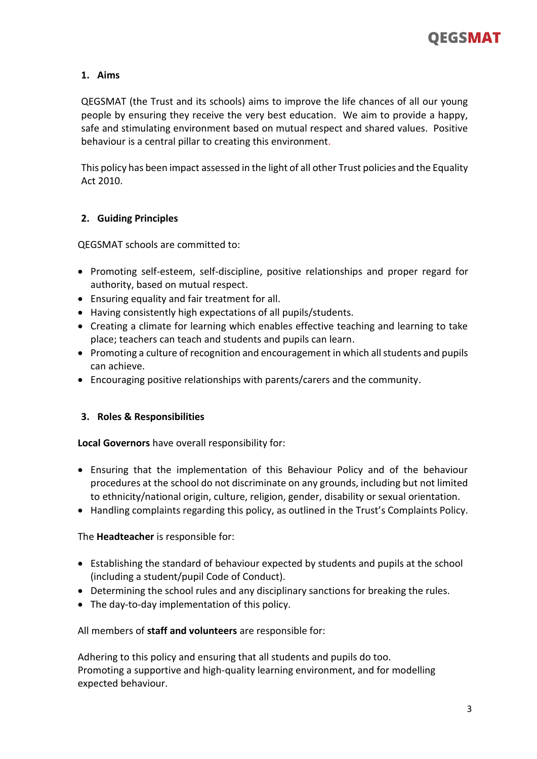#### <span id="page-2-0"></span>**1. Aims**

QEGSMAT (the Trust and its schools) aims to improve the life chances of all our young people by ensuring they receive the very best education. We aim to provide a happy, safe and stimulating environment based on mutual respect and shared values. Positive behaviour is a central pillar to creating this environment.

This policy has been impact assessed in the light of all other Trust policies and the Equality Act 2010.

#### <span id="page-2-1"></span>**2. Guiding Principles**

QEGSMAT schools are committed to:

- Promoting self-esteem, self-discipline, positive relationships and proper regard for authority, based on mutual respect.
- Ensuring equality and fair treatment for all.
- Having consistently high expectations of all pupils/students.
- Creating a climate for learning which enables effective teaching and learning to take place; teachers can teach and students and pupils can learn.
- Promoting a culture of recognition and encouragement in which all students and pupils can achieve.
- Encouraging positive relationships with parents/carers and the community.

#### <span id="page-2-2"></span>**3. Roles & Responsibilities**

#### **Local Governors** have overall responsibility for:

- Ensuring that the implementation of this Behaviour Policy and of the behaviour procedures at the school do not discriminate on any grounds, including but not limited to ethnicity/national origin, culture, religion, gender, disability or sexual orientation.
- Handling complaints regarding this policy, as outlined in the Trust's Complaints Policy.

#### The **Headteacher** is responsible for:

- Establishing the standard of behaviour expected by students and pupils at the school (including a student/pupil Code of Conduct).
- Determining the school rules and any disciplinary sanctions for breaking the rules.
- The day-to-day implementation of this policy.

All members of **staff and volunteers** are responsible for:

Adhering to this policy and ensuring that all students and pupils do too. Promoting a supportive and high-quality learning environment, and for modelling expected behaviour.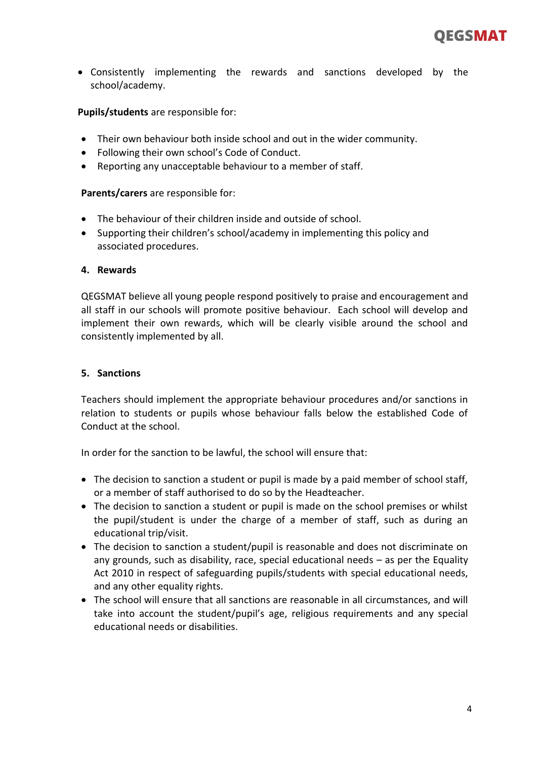• Consistently implementing the rewards and sanctions developed by the school/academy.

**Pupils/students** are responsible for:

- Their own behaviour both inside school and out in the wider community.
- Following their own school's Code of Conduct.
- Reporting any unacceptable behaviour to a member of staff.

#### **Parents/carers** are responsible for:

- The behaviour of their children inside and outside of school.
- Supporting their children's school/academy in implementing this policy and associated procedures.

#### <span id="page-3-0"></span>**4. Rewards**

QEGSMAT believe all young people respond positively to praise and encouragement and all staff in our schools will promote positive behaviour. Each school will develop and implement their own rewards, which will be clearly visible around the school and consistently implemented by all.

#### <span id="page-3-1"></span>**5. Sanctions**

Teachers should implement the appropriate behaviour procedures and/or sanctions in relation to students or pupils whose behaviour falls below the established Code of Conduct at the school.

In order for the sanction to be lawful, the school will ensure that:

- The decision to sanction a student or pupil is made by a paid member of school staff, or a member of staff authorised to do so by the Headteacher.
- The decision to sanction a student or pupil is made on the school premises or whilst the pupil/student is under the charge of a member of staff, such as during an educational trip/visit.
- The decision to sanction a student/pupil is reasonable and does not discriminate on any grounds, such as disability, race, special educational needs  $-$  as per the Equality Act 2010 in respect of safeguarding pupils/students with special educational needs, and any other equality rights.
- The school will ensure that all sanctions are reasonable in all circumstances, and will take into account the student/pupil's age, religious requirements and any special educational needs or disabilities.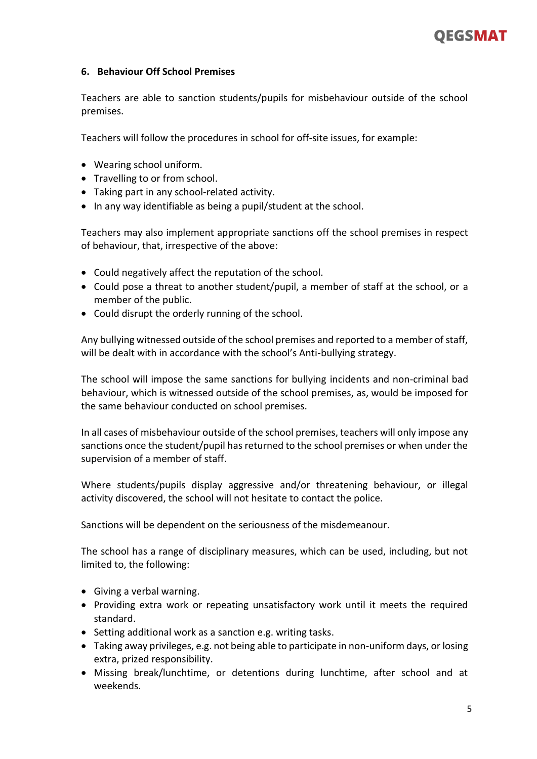

#### <span id="page-4-0"></span>**6. Behaviour Off School Premises**

Teachers are able to sanction students/pupils for misbehaviour outside of the school premises.

Teachers will follow the procedures in school for off-site issues, for example:

- Wearing school uniform.
- Travelling to or from school.
- Taking part in any school-related activity.
- In any way identifiable as being a pupil/student at the school.

Teachers may also implement appropriate sanctions off the school premises in respect of behaviour, that, irrespective of the above:

- Could negatively affect the reputation of the school.
- Could pose a threat to another student/pupil, a member of staff at the school, or a member of the public.
- Could disrupt the orderly running of the school.

Any bullying witnessed outside of the school premises and reported to a member of staff, will be dealt with in accordance with the school's Anti-bullying strategy.

The school will impose the same sanctions for bullying incidents and non-criminal bad behaviour, which is witnessed outside of the school premises, as, would be imposed for the same behaviour conducted on school premises.

In all cases of misbehaviour outside of the school premises, teachers will only impose any sanctions once the student/pupil has returned to the school premises or when under the supervision of a member of staff.

Where students/pupils display aggressive and/or threatening behaviour, or illegal activity discovered, the school will not hesitate to contact the police.

Sanctions will be dependent on the seriousness of the misdemeanour.

The school has a range of disciplinary measures, which can be used, including, but not limited to, the following:

- Giving a verbal warning.
- Providing extra work or repeating unsatisfactory work until it meets the required standard.
- Setting additional work as a sanction e.g. writing tasks.
- Taking away privileges, e.g. not being able to participate in non-uniform days, or losing extra, prized responsibility.
- Missing break/lunchtime, or detentions during lunchtime, after school and at weekends.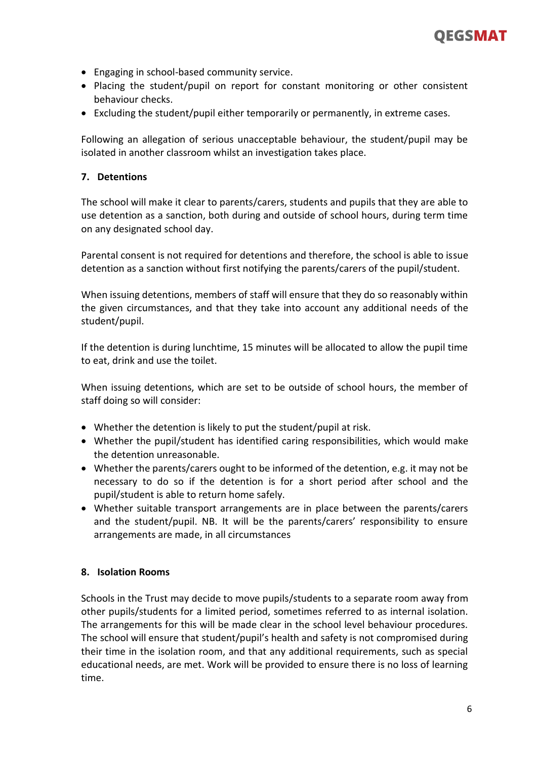

- Engaging in school-based community service.
- Placing the student/pupil on report for constant monitoring or other consistent behaviour checks.
- Excluding the student/pupil either temporarily or permanently, in extreme cases.

Following an allegation of serious unacceptable behaviour, the student/pupil may be isolated in another classroom whilst an investigation takes place.

#### <span id="page-5-0"></span>**7. Detentions**

The school will make it clear to parents/carers, students and pupils that they are able to use detention as a sanction, both during and outside of school hours, during term time on any designated school day.

Parental consent is not required for detentions and therefore, the school is able to issue detention as a sanction without first notifying the parents/carers of the pupil/student.

When issuing detentions, members of staff will ensure that they do so reasonably within the given circumstances, and that they take into account any additional needs of the student/pupil.

If the detention is during lunchtime, 15 minutes will be allocated to allow the pupil time to eat, drink and use the toilet.

When issuing detentions, which are set to be outside of school hours, the member of staff doing so will consider:

- Whether the detention is likely to put the student/pupil at risk.
- Whether the pupil/student has identified caring responsibilities, which would make the detention unreasonable.
- Whether the parents/carers ought to be informed of the detention, e.g. it may not be necessary to do so if the detention is for a short period after school and the pupil/student is able to return home safely.
- Whether suitable transport arrangements are in place between the parents/carers and the student/pupil. NB. It will be the parents/carers' responsibility to ensure arrangements are made, in all circumstances

#### <span id="page-5-1"></span>**8. Isolation Rooms**

Schools in the Trust may decide to move pupils/students to a separate room away from other pupils/students for a limited period, sometimes referred to as internal isolation. The arrangements for this will be made clear in the school level behaviour procedures. The school will ensure that student/pupil's health and safety is not compromised during their time in the isolation room, and that any additional requirements, such as special educational needs, are met. Work will be provided to ensure there is no loss of learning time.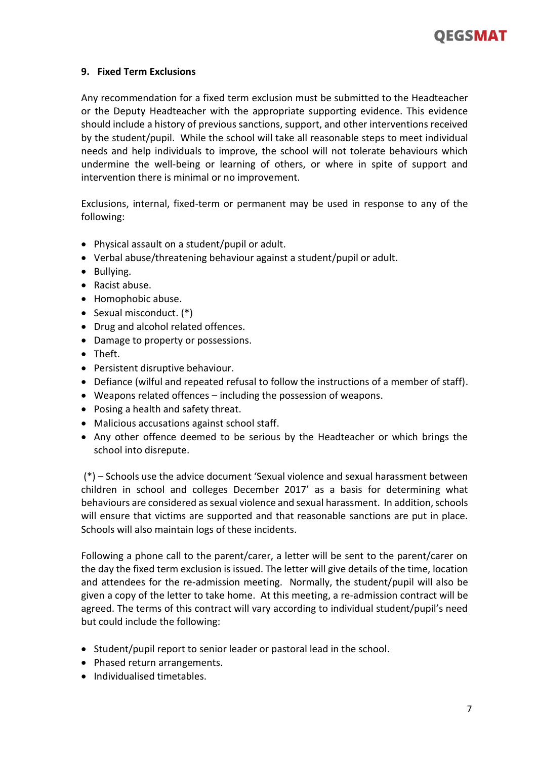

#### <span id="page-6-0"></span>**9. Fixed Term Exclusions**

Any recommendation for a fixed term exclusion must be submitted to the Headteacher or the Deputy Headteacher with the appropriate supporting evidence. This evidence should include a history of previous sanctions, support, and other interventions received by the student/pupil. While the school will take all reasonable steps to meet individual needs and help individuals to improve, the school will not tolerate behaviours which undermine the well-being or learning of others, or where in spite of support and intervention there is minimal or no improvement.

Exclusions, internal, fixed-term or permanent may be used in response to any of the following:

- Physical assault on a student/pupil or adult.
- Verbal abuse/threatening behaviour against a student/pupil or adult.
- Bullying.
- Racist abuse.
- Homophobic abuse.
- Sexual misconduct. (\*)
- Drug and alcohol related offences.
- Damage to property or possessions.
- Theft.
- Persistent disruptive behaviour.
- Defiance (wilful and repeated refusal to follow the instructions of a member of staff).
- Weapons related offences including the possession of weapons.
- Posing a health and safety threat.
- Malicious accusations against school staff.
- Any other offence deemed to be serious by the Headteacher or which brings the school into disrepute.

(\*) – Schools use the advice document 'Sexual violence and sexual harassment between children in school and colleges December 2017' as a basis for determining what behaviours are considered as sexual violence and sexual harassment. In addition, schools will ensure that victims are supported and that reasonable sanctions are put in place. Schools will also maintain logs of these incidents.

Following a phone call to the parent/carer, a letter will be sent to the parent/carer on the day the fixed term exclusion is issued. The letter will give details of the time, location and attendees for the re-admission meeting. Normally, the student/pupil will also be given a copy of the letter to take home. At this meeting, a re-admission contract will be agreed. The terms of this contract will vary according to individual student/pupil's need but could include the following:

- Student/pupil report to senior leader or pastoral lead in the school.
- Phased return arrangements.
- Individualised timetables.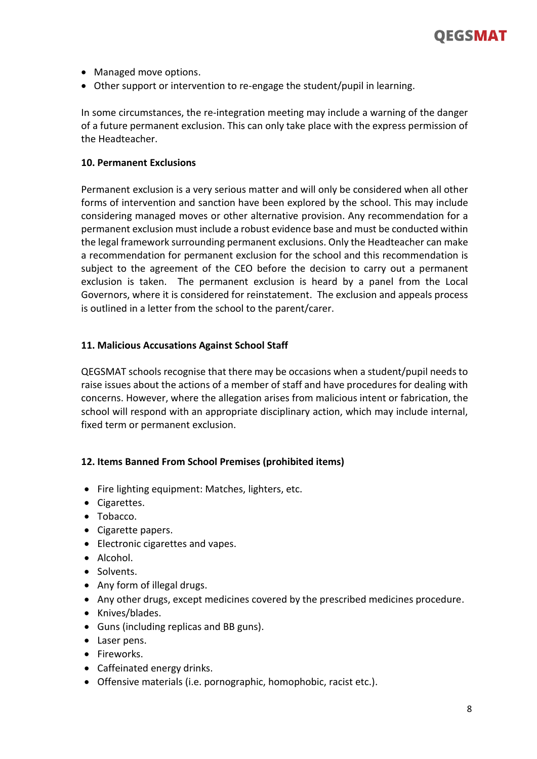

- Managed move options.
- Other support or intervention to re-engage the student/pupil in learning.

In some circumstances, the re-integration meeting may include a warning of the danger of a future permanent exclusion. This can only take place with the express permission of the Headteacher.

#### <span id="page-7-0"></span>**10. Permanent Exclusions**

Permanent exclusion is a very serious matter and will only be considered when all other forms of intervention and sanction have been explored by the school. This may include considering managed moves or other alternative provision. Any recommendation for a permanent exclusion must include a robust evidence base and must be conducted within the legal framework surrounding permanent exclusions. Only the Headteacher can make a recommendation for permanent exclusion for the school and this recommendation is subject to the agreement of the CEO before the decision to carry out a permanent exclusion is taken. The permanent exclusion is heard by a panel from the Local Governors, where it is considered for reinstatement. The exclusion and appeals process is outlined in a letter from the school to the parent/carer.

#### <span id="page-7-1"></span>**11. Malicious Accusations Against School Staff**

QEGSMAT schools recognise that there may be occasions when a student/pupil needs to raise issues about the actions of a member of staff and have procedures for dealing with concerns. However, where the allegation arises from malicious intent or fabrication, the school will respond with an appropriate disciplinary action, which may include internal, fixed term or permanent exclusion.

#### <span id="page-7-2"></span>**12. Items Banned From School Premises (prohibited items)**

- Fire lighting equipment: Matches, lighters, etc.
- Cigarettes.
- Tobacco.
- Cigarette papers.
- Electronic cigarettes and vapes.
- Alcohol.
- Solvents.
- Any form of illegal drugs.
- Any other drugs, except medicines covered by the prescribed medicines procedure.
- Knives/blades.
- Guns (including replicas and BB guns).
- Laser pens.
- Fireworks.
- Caffeinated energy drinks.
- Offensive materials (i.e. pornographic, homophobic, racist etc.).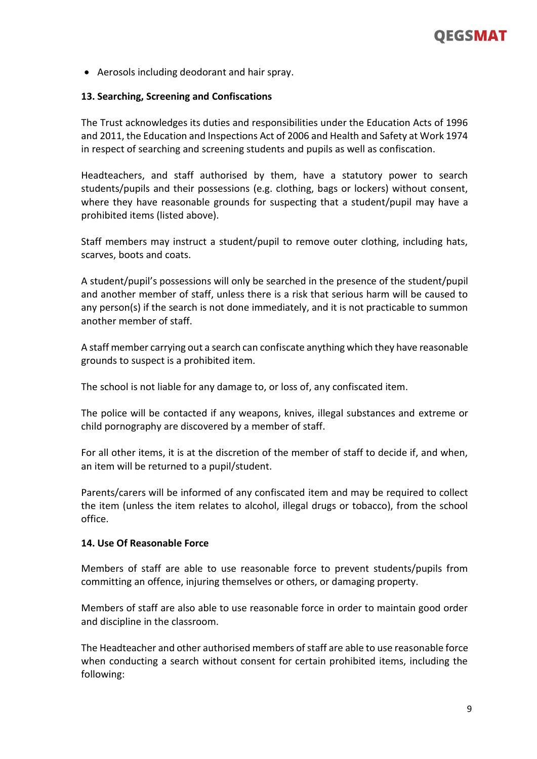

• Aerosols including deodorant and hair spray.

#### <span id="page-8-0"></span>**13. Searching, Screening and Confiscations**

The Trust acknowledges its duties and responsibilities under the Education Acts of 1996 and 2011, the Education and Inspections Act of 2006 and Health and Safety at Work 1974 in respect of searching and screening students and pupils as well as confiscation.

Headteachers, and staff authorised by them, have a statutory power to search students/pupils and their possessions (e.g. clothing, bags or lockers) without consent, where they have reasonable grounds for suspecting that a student/pupil may have a prohibited items (listed above).

Staff members may instruct a student/pupil to remove outer clothing, including hats, scarves, boots and coats.

A student/pupil's possessions will only be searched in the presence of the student/pupil and another member of staff, unless there is a risk that serious harm will be caused to any person(s) if the search is not done immediately, and it is not practicable to summon another member of staff.

A staff member carrying out a search can confiscate anything which they have reasonable grounds to suspect is a prohibited item.

The school is not liable for any damage to, or loss of, any confiscated item.

The police will be contacted if any weapons, knives, illegal substances and extreme or child pornography are discovered by a member of staff.

For all other items, it is at the discretion of the member of staff to decide if, and when, an item will be returned to a pupil/student.

Parents/carers will be informed of any confiscated item and may be required to collect the item (unless the item relates to alcohol, illegal drugs or tobacco), from the school office.

#### <span id="page-8-1"></span>**14. Use Of Reasonable Force**

Members of staff are able to use reasonable force to prevent students/pupils from committing an offence, injuring themselves or others, or damaging property.

Members of staff are also able to use reasonable force in order to maintain good order and discipline in the classroom.

The Headteacher and other authorised members of staff are able to use reasonable force when conducting a search without consent for certain prohibited items, including the following: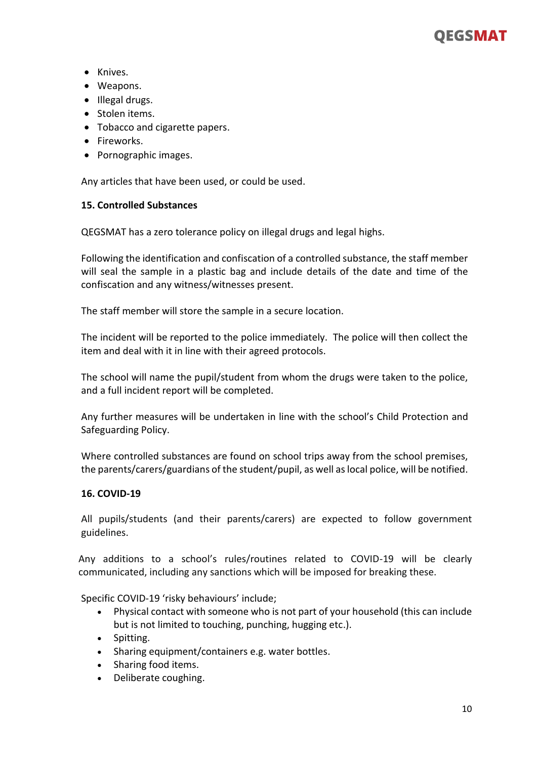## OEGSMAT

- Knives.
- Weapons.
- Illegal drugs.
- Stolen items.
- Tobacco and cigarette papers.
- Fireworks.
- Pornographic images.

<span id="page-9-0"></span>Any articles that have been used, or could be used.

#### **15. Controlled Substances**

QEGSMAT has a zero tolerance policy on illegal drugs and legal highs.

Following the identification and confiscation of a controlled substance, the staff member will seal the sample in a plastic bag and include details of the date and time of the confiscation and any witness/witnesses present.

The staff member will store the sample in a secure location.

The incident will be reported to the police immediately. The police will then collect the item and deal with it in line with their agreed protocols.

The school will name the pupil/student from whom the drugs were taken to the police, and a full incident report will be completed.

Any further measures will be undertaken in line with the school's Child Protection and Safeguarding Policy.

Where controlled substances are found on school trips away from the school premises, the parents/carers/guardians of the student/pupil, as well as local police, will be notified.

#### <span id="page-9-1"></span>**16. COVID-19**

All pupils/students (and their parents/carers) are expected to follow government guidelines.

Any additions to a school's rules/routines related to COVID-19 will be clearly communicated, including any sanctions which will be imposed for breaking these.

Specific COVID-19 'risky behaviours' include;

- Physical contact with someone who is not part of your household (this can include but is not limited to touching, punching, hugging etc.).
- Spitting.
- Sharing equipment/containers e.g. water bottles.
- Sharing food items.
- Deliberate coughing.